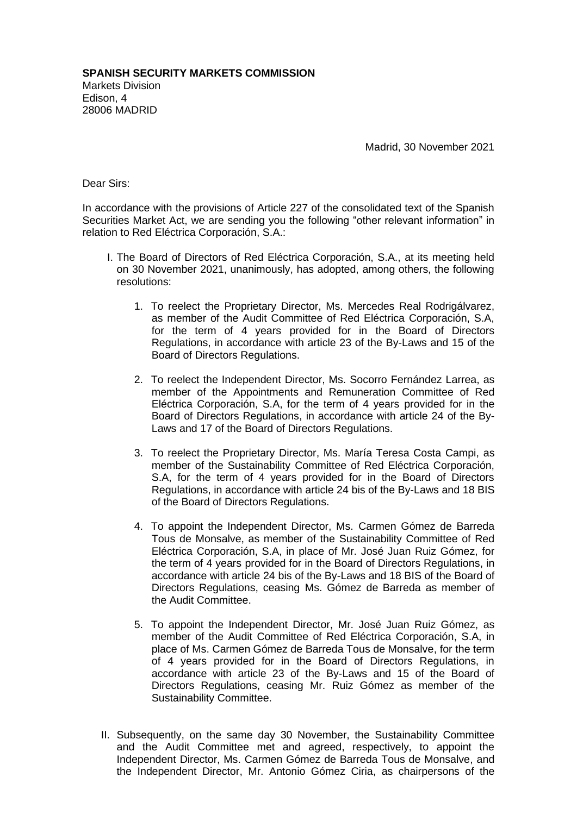Madrid, 30 November 2021

Dear Sirs:

In accordance with the provisions of Article 227 of the consolidated text of the Spanish Securities Market Act, we are sending you the following "other relevant information" in relation to Red Eléctrica Corporación, S.A.:

- I. The Board of Directors of Red Eléctrica Corporación, S.A., at its meeting held on 30 November 2021, unanimously, has adopted, among others, the following resolutions:
	- 1. To reelect the Proprietary Director, Ms. Mercedes Real Rodrigálvarez, as member of the Audit Committee of Red Eléctrica Corporación, S.A, for the term of 4 years provided for in the Board of Directors Regulations, in accordance with article 23 of the By-Laws and 15 of the Board of Directors Regulations.
	- 2. To reelect the Independent Director, Ms. Socorro Fernández Larrea, as member of the Appointments and Remuneration Committee of Red Eléctrica Corporación, S.A, for the term of 4 years provided for in the Board of Directors Regulations, in accordance with article 24 of the By-Laws and 17 of the Board of Directors Regulations.
	- 3. To reelect the Proprietary Director, Ms. María Teresa Costa Campi, as member of the Sustainability Committee of Red Eléctrica Corporación, S.A, for the term of 4 years provided for in the Board of Directors Regulations, in accordance with article 24 bis of the By-Laws and 18 BIS of the Board of Directors Regulations.
	- 4. To appoint the Independent Director, Ms. Carmen Gómez de Barreda Tous de Monsalve, as member of the Sustainability Committee of Red Eléctrica Corporación, S.A, in place of Mr. José Juan Ruiz Gómez, for the term of 4 years provided for in the Board of Directors Regulations, in accordance with article 24 bis of the By-Laws and 18 BIS of the Board of Directors Regulations, ceasing Ms. Gómez de Barreda as member of the Audit Committee.
	- 5. To appoint the Independent Director, Mr. José Juan Ruiz Gómez, as member of the Audit Committee of Red Eléctrica Corporación, S.A, in place of Ms. Carmen Gómez de Barreda Tous de Monsalve, for the term of 4 years provided for in the Board of Directors Regulations, in accordance with article 23 of the By-Laws and 15 of the Board of Directors Regulations, ceasing Mr. Ruiz Gómez as member of the Sustainability Committee.
- II. Subsequently, on the same day 30 November, the Sustainability Committee and the Audit Committee met and agreed, respectively, to appoint the Independent Director, Ms. Carmen Gómez de Barreda Tous de Monsalve, and the Independent Director, Mr. Antonio Gómez Ciria, as chairpersons of the